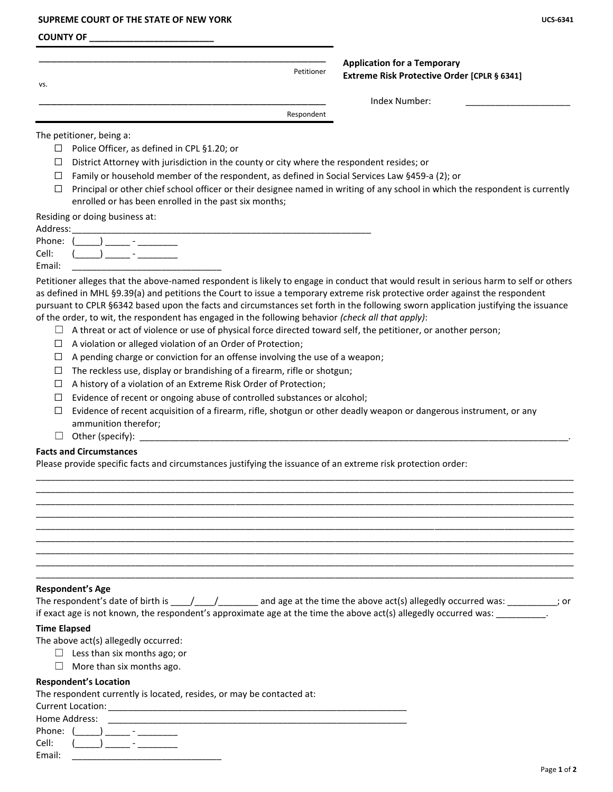#### **SUPREME COURT OF THE STATE OF NEW YORK UCS-6341**

#### **COUNTY OF \_\_\_\_\_\_\_\_\_\_\_\_\_\_\_\_\_\_\_\_\_\_\_\_\_**

| VS. | Petitioner | <b>Application for a Temporary</b><br>Extreme Risk Protective Order [CPLR § 6341] |  |
|-----|------------|-----------------------------------------------------------------------------------|--|
|     |            | Index Number:                                                                     |  |
|     | Respondent |                                                                                   |  |

The petitioner, being a:

- ☐ Police Officer, as defined in CPL §1.20; or
- $\Box$  District Attorney with jurisdiction in the county or city where the respondent resides; or
- $\Box$  Family or household member of the respondent, as defined in Social Services Law §459-a (2); or
- $\Box$  Principal or other chief school officer or their designee named in writing of any school in which the respondent is currently enrolled or has been enrolled in the past six months;

Residing or doing business at:

| Address:  |                                        |
|-----------|----------------------------------------|
| Phone: () | $\overline{\phantom{a}}$               |
| Cell:     | $\sqrt{2}$<br>$\overline{\phantom{0}}$ |
| Email:    |                                        |

Petitioner alleges that the above-named respondent is likely to engage in conduct that would result in serious harm to self or others as defined in MHL §9.39(a) and petitions the Court to issue a temporary extreme risk protective order against the respondent pursuant to CPLR §6342 based upon the facts and circumstances set forth in the following sworn application justifying the issuance of the order, to wit, the respondent has engaged in the following behavior *(check all that apply)*:

- $\Box$  A threat or act of violence or use of physical force directed toward self, the petitioner, or another person;
- ☐ A violation or alleged violation of an Order of Protection;
- $\Box$  A pending charge or conviction for an offense involving the use of a weapon;
- $\Box$  The reckless use, display or brandishing of a firearm, rifle or shotgun;
- $\Box$  A history of a violation of an Extreme Risk Order of Protection;
- $\Box$  Evidence of recent or ongoing abuse of controlled substances or alcohol;
- $\Box$  Evidence of recent acquisition of a firearm, rifle, shotgun or other deadly weapon or dangerous instrument, or any ammunition therefor;

\_\_\_\_\_\_\_\_\_\_\_\_\_\_\_\_\_\_\_\_\_\_\_\_\_\_\_\_\_\_\_\_\_\_\_\_\_\_\_\_\_\_\_\_\_\_\_\_\_\_\_\_\_\_\_\_\_\_\_\_\_\_\_\_\_\_\_\_\_\_\_\_\_\_\_\_\_\_\_\_\_\_\_\_\_\_\_\_\_\_\_\_\_\_\_\_\_\_\_\_\_\_\_\_\_\_\_\_ \_\_\_\_\_\_\_\_\_\_\_\_\_\_\_\_\_\_\_\_\_\_\_\_\_\_\_\_\_\_\_\_\_\_\_\_\_\_\_\_\_\_\_\_\_\_\_\_\_\_\_\_\_\_\_\_\_\_\_\_\_\_\_\_\_\_\_\_\_\_\_\_\_\_\_\_\_\_\_\_\_\_\_\_\_\_\_\_\_\_\_\_\_\_\_\_\_\_\_\_\_\_\_\_\_\_\_\_ \_\_\_\_\_\_\_\_\_\_\_\_\_\_\_\_\_\_\_\_\_\_\_\_\_\_\_\_\_\_\_\_\_\_\_\_\_\_\_\_\_\_\_\_\_\_\_\_\_\_\_\_\_\_\_\_\_\_\_\_\_\_\_\_\_\_\_\_\_\_\_\_\_\_\_\_\_\_\_\_\_\_\_\_\_\_\_\_\_\_\_\_\_\_\_\_\_\_\_\_\_\_\_\_\_\_\_\_ \_\_\_\_\_\_\_\_\_\_\_\_\_\_\_\_\_\_\_\_\_\_\_\_\_\_\_\_\_\_\_\_\_\_\_\_\_\_\_\_\_\_\_\_\_\_\_\_\_\_\_\_\_\_\_\_\_\_\_\_\_\_\_\_\_\_\_\_\_\_\_\_\_\_\_\_\_\_\_\_\_\_\_\_\_\_\_\_\_\_\_\_\_\_\_\_\_\_\_\_\_\_\_\_\_\_\_\_ \_\_\_\_\_\_\_\_\_\_\_\_\_\_\_\_\_\_\_\_\_\_\_\_\_\_\_\_\_\_\_\_\_\_\_\_\_\_\_\_\_\_\_\_\_\_\_\_\_\_\_\_\_\_\_\_\_\_\_\_\_\_\_\_\_\_\_\_\_\_\_\_\_\_\_\_\_\_\_\_\_\_\_\_\_\_\_\_\_\_\_\_\_\_\_\_\_\_\_\_\_\_\_\_\_\_\_\_ \_\_\_\_\_\_\_\_\_\_\_\_\_\_\_\_\_\_\_\_\_\_\_\_\_\_\_\_\_\_\_\_\_\_\_\_\_\_\_\_\_\_\_\_\_\_\_\_\_\_\_\_\_\_\_\_\_\_\_\_\_\_\_\_\_\_\_\_\_\_\_\_\_\_\_\_\_\_\_\_\_\_\_\_\_\_\_\_\_\_\_\_\_\_\_\_\_\_\_\_\_\_\_\_\_\_\_\_ \_\_\_\_\_\_\_\_\_\_\_\_\_\_\_\_\_\_\_\_\_\_\_\_\_\_\_\_\_\_\_\_\_\_\_\_\_\_\_\_\_\_\_\_\_\_\_\_\_\_\_\_\_\_\_\_\_\_\_\_\_\_\_\_\_\_\_\_\_\_\_\_\_\_\_\_\_\_\_\_\_\_\_\_\_\_\_\_\_\_\_\_\_\_\_\_\_\_\_\_\_\_\_\_\_\_\_\_ \_\_\_\_\_\_\_\_\_\_\_\_\_\_\_\_\_\_\_\_\_\_\_\_\_\_\_\_\_\_\_\_\_\_\_\_\_\_\_\_\_\_\_\_\_\_\_\_\_\_\_\_\_\_\_\_\_\_\_\_\_\_\_\_\_\_\_\_\_\_\_\_\_\_\_\_\_\_\_\_\_\_\_\_\_\_\_\_\_\_\_\_\_\_\_\_\_\_\_\_\_\_\_\_\_\_\_\_ \_\_\_\_\_\_\_\_\_\_\_\_\_\_\_\_\_\_\_\_\_\_\_\_\_\_\_\_\_\_\_\_\_\_\_\_\_\_\_\_\_\_\_\_\_\_\_\_\_\_\_\_\_\_\_\_\_\_\_\_\_\_\_\_\_\_\_\_\_\_\_\_\_\_\_\_\_\_\_\_\_\_\_\_\_\_\_\_\_\_\_\_\_\_\_\_\_\_\_\_\_\_\_\_\_\_\_\_

 $\Box$  Other (specify):

## **Facts and Circumstances**

Please provide specific facts and circumstances justifying the issuance of an extreme risk protection order:

| Respondent's Age |  |
|------------------|--|
|------------------|--|

| The respondent's date of birth is | and age at the time the above act(s) allegedly occurred was:                                                     | : or |
|-----------------------------------|------------------------------------------------------------------------------------------------------------------|------|
|                                   | if exact age is not known, the respondent's approximate age at the time the above act(s) allegedly occurred was: |      |

#### **Time Elapsed**

- The above act(s) allegedly occurred:
	- $\Box$  Less than six months ago; or
	- $\Box$  More than six months ago.

### **Respondent's Location**

The respondent currently is located, resides, or may be contacted at:

| <b>Current Location:</b>           |
|------------------------------------|
| Home Address:                      |
| Phone:<br>$\overline{\phantom{a}}$ |
| Cell:<br>$\overline{\phantom{a}}$  |
| Email:                             |